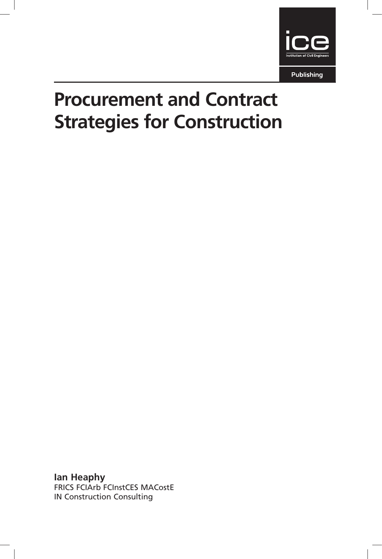

Publishing

# Procurement and Contract Strategies for Construction

Ian Heaphy FRICS FCIArb FCInstCES MACostE IN Construction Consulting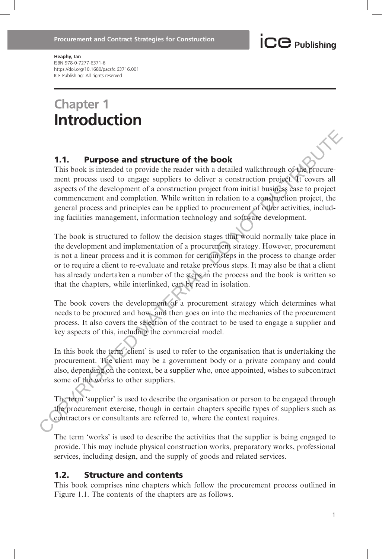#### Heaphy, Ian ISBN 978-0-7277-6371-6 https://doi.org/10.1680/pacsfc.63716.001 ICE Publishing: All rights reserved

## Chapter 1 Introduction

#### 1.1. Purpose and structure of the book

This book is intended to provide the reader with a detailed walkthrough of the procurement process used to engage suppliers to deliver a construction project. It covers all aspects of the development of a construction project from initial business case to project commencement and completion. While written in relation to a construction project, the general process and principles can be applied to procurement of other activities, including facilities management, information technology and software development.

The book is structured to follow the decision stages that would normally take place in the development and implementation of a procurement strategy. However, procurement is not a linear process and it is common for certain steps in the process to change order or to require a client to re-evaluate and retake previous steps. It may also be that a client has already undertaken a number of the steps in the process and the book is written so that the chapters, while interlinked, can be read in isolation. **1.1. Purpose and structure of the book**<br>This book is niteraded to provide the reader with a detailed walk<br>through of the procurrement process used to engage suppliers to deliver a construction project<br>uspects of the deve

The book covers the development of a procurement strategy which determines what needs to be procured and how, and then goes on into the mechanics of the procurement process. It also covers the selection of the contract to be used to engage a supplier and key aspects of this, including the commercial model.

In this book the term 'client' is used to refer to the organisation that is undertaking the procurement. The client may be a government body or a private company and could also, depending on the context, be a supplier who, once appointed, wishes to subcontract some of the works to other suppliers.

The term 'supplier' is used to describe the organisation or person to be engaged through the procurement exercise, though in certain chapters specific types of suppliers such as contractors or consultants are referred to, where the context requires.

The term 'works' is used to describe the activities that the supplier is being engaged to provide. This may include physical construction works, preparatory works, professional services, including design, and the supply of goods and related services.

#### 1.2. Structure and contents

This book comprises nine chapters which follow the procurement process outlined in Figure 1.1. The contents of the chapters are as follows.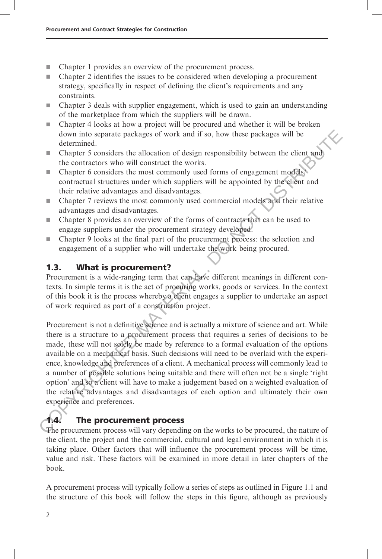- $\blacksquare$  Chapter 1 provides an overview of the procurement process.
- $\blacksquare$  Chapter 2 identifies the issues to be considered when developing a procurement strategy, specifically in respect of defining the client's requirements and any constraints.
- $\Box$  Chapter 3 deals with supplier engagement, which is used to gain an understanding of the marketplace from which the suppliers will be drawn.
- $\Box$  Chapter 4 looks at how a project will be procured and whether it will be broken down into separate packages of work and if so, how these packages will be determined.
- $\blacksquare$  Chapter 5 considers the allocation of design responsibility between the client and the contractors who will construct the works.
- $\blacksquare$  Chapter 6 considers the most commonly used forms of engagement models/ contractual structures under which suppliers will be appointed by the client and their relative advantages and disadvantages.
- $\Box$  Chapter 7 reviews the most commonly used commercial models and their relative advantages and disadvantages.
- **EX** Chapter 8 provides an overview of the forms of contracts that can be used to engage suppliers under the procurement strategy developed.
- g Chapter 9 looks at the final part of the procurement process: the selection and engagement of a supplier who will undertake the work being procured.

#### 1.3. What is procurement?

Procurement is a wide-ranging term that can have different meanings in different contexts. In simple terms it is the act of procuring works, goods or services. In the context of this book it is the process whereby a client engages a supplier to undertake an aspect of work required as part of a construction project.

Procurement is not a definitive science and is actually a mixture of science and art. While there is a structure to a procurement process that requires a series of decisions to be made, these will not solely be made by reference to a formal evaluation of the options available on a mechanical basis. Such decisions will need to be overlaid with the experience, knowledge and preferences of a client. A mechanical process will commonly lead to a number of possible solutions being suitable and there will often not be a single 'right option' and so a client will have to make a judgement based on a weighted evaluation of the relative advantages and disadvantages of each option and ultimately their own experience and preferences. down into separate packages of work and if so, how these packages will be<br>
determined.<br> **E** Chapter 5 considers the allocation of design responsibility between the client and<br>
the contractors who will construct the works.<br>

#### 1.4. The procurement process

The procurement process will vary depending on the works to be procured, the nature of the client, the project and the commercial, cultural and legal environment in which it is taking place. Other factors that will influence the procurement process will be time, value and risk. These factors will be examined in more detail in later chapters of the book.

A procurement process will typically follow a series of steps as outlined in Figure 1.1 and the structure of this book will follow the steps in this figure, although as previously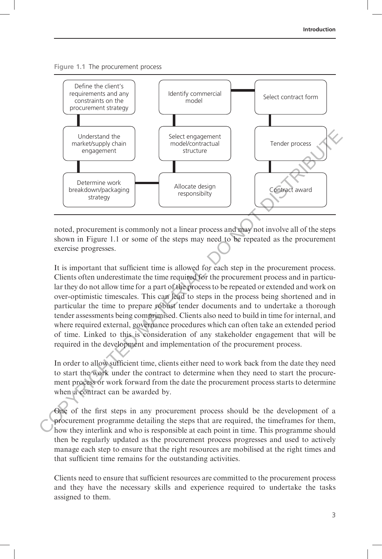



noted, procurement is commonly not a linear process and may not involve all of the steps shown in Figure 1.1 or some of the steps may need to be repeated as the procurement exercise progresses.

It is important that sufficient time is allowed for each step in the procurement process. Clients often underestimate the time required for the procurement process and in particular they do not allow time for a part of the process to be repeated or extended and work on over-optimistic timescales. This can lead to steps in the process being shortened and in particular the time to prepare robust tender documents and to undertake a thorough tender assessments being comprimised. Clients also need to build in time for internal, and where required external, governance procedures which can often take an extended period of time. Linked to this is consideration of any stakeholder engagement that will be required in the development and implementation of the procurement process.

In order to allow sufficient time, clients either need to work back from the date they need to start the work under the contract to determine when they need to start the procurement process or work forward from the date the procurement process starts to determine when a contract can be awarded by.

One of the first steps in any procurement process should be the development of a procurement programme detailing the steps that are required, the timeframes for them, how they interlink and who is responsible at each point in time. This programme should then be regularly updated as the procurement process progresses and used to actively manage each step to ensure that the right resources are mobilised at the right times and that sufficient time remains for the outstanding activities.

Clients need to ensure that sufficient resources are committed to the procurement process and they have the necessary skills and experience required to undertake the tasks assigned to them.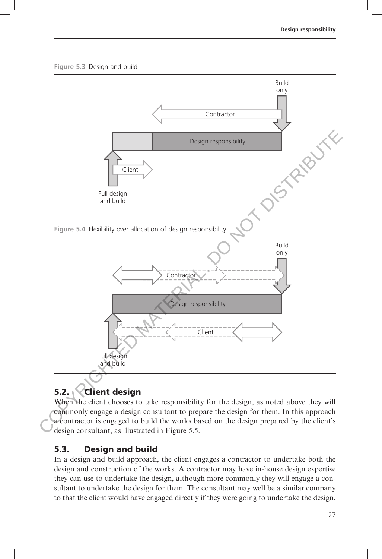#### Figure 5.3 Design and build



### 5.2. **Client design**

When the client chooses to take responsibility for the design, as noted above they will commonly engage a design consultant to prepare the design for them. In this approach a contractor is engaged to build the works based on the design prepared by the client's design consultant, as illustrated in Figure 5.5.

#### 5.3. Design and build

In a design and build approach, the client engages a contractor to undertake both the design and construction of the works. A contractor may have in-house design expertise they can use to undertake the design, although more commonly they will engage a consultant to undertake the design for them. The consultant may well be a similar company to that the client would have engaged directly if they were going to undertake the design.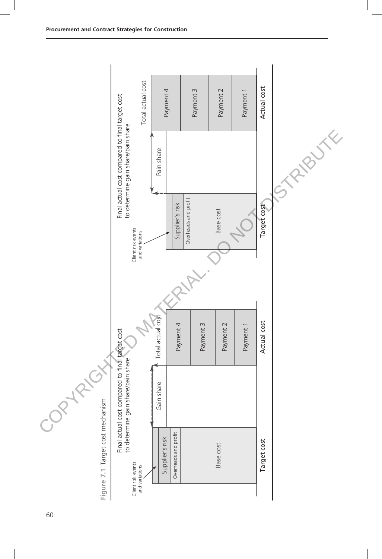